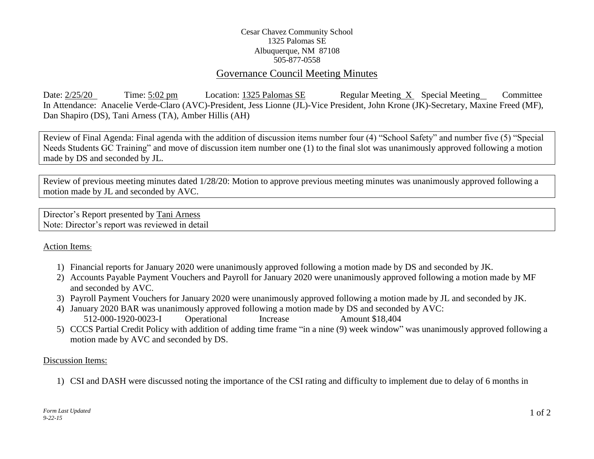## Cesar Chavez Community School 1325 Palomas SE Albuquerque, NM 87108 505-877-0558

# Governance Council Meeting Minutes

Date: 2/25/20 Time: 5:02 pm Location: 1325 Palomas SE Regular Meeting X Special Meeting Committee In Attendance: Anacelie Verde-Claro (AVC)-President, Jess Lionne (JL)-Vice President, John Krone (JK)-Secretary, Maxine Freed (MF), Dan Shapiro (DS), Tani Arness (TA), Amber Hillis (AH)

Review of Final Agenda: Final agenda with the addition of discussion items number four (4) "School Safety" and number five (5) "Special Needs Students GC Training" and move of discussion item number one (1) to the final slot was unanimously approved following a motion made by DS and seconded by JL.

Review of previous meeting minutes dated 1/28/20: Motion to approve previous meeting minutes was unanimously approved following a motion made by JL and seconded by AVC.

Director's Report presented by Tani Arness Note: Director's report was reviewed in detail

## Action Items:

- 1) Financial reports for January 2020 were unanimously approved following a motion made by DS and seconded by JK.
- 2) Accounts Payable Payment Vouchers and Payroll for January 2020 were unanimously approved following a motion made by MF and seconded by AVC.
- 3) Payroll Payment Vouchers for January 2020 were unanimously approved following a motion made by JL and seconded by JK.
- 4) January 2020 BAR was unanimously approved following a motion made by DS and seconded by AVC: 512-000-1920-0023-I Operational Increase Amount \$18,404
- 5) CCCS Partial Credit Policy with addition of adding time frame "in a nine (9) week window" was unanimously approved following a motion made by AVC and seconded by DS.

#### Discussion Items:

1) CSI and DASH were discussed noting the importance of the CSI rating and difficulty to implement due to delay of 6 months in